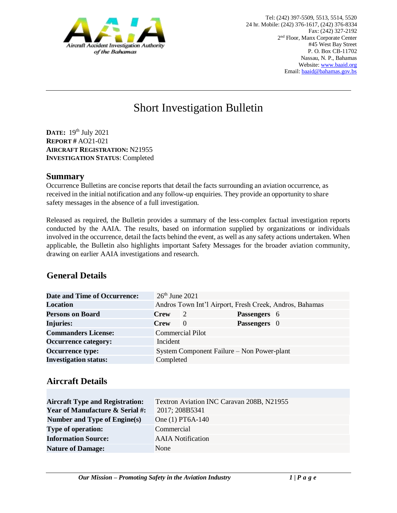

# Short Investigation Bulletin

**DATE:** 19 th July 2021 **REPORT #** AO21-021 **AIRCRAFT REGISTRATION:** N21955 **INVESTIGATION STATUS**: Completed

#### **Summary**

Occurrence Bulletins are concise reports that detail the facts surrounding an aviation occurrence, as received in the initial notification and any follow-up enquiries. They provide an opportunity to share safety messages in the absence of a full investigation*.* 

Released as required, the Bulletin provides a summary of the less-complex factual investigation reports conducted by the AAIA. The results, based on information supplied by organizations or individuals involved in the occurrence, detail the facts behind the event, as well as any safety actions undertaken. When applicable, the Bulletin also highlights important Safety Messages for the broader aviation community, drawing on earlier AAIA investigations and research.

# **General Details**

| Date and Time of Occurrence: | $26th$ June 2021                           |                                                         |              |  |
|------------------------------|--------------------------------------------|---------------------------------------------------------|--------------|--|
| <b>Location</b>              |                                            | Andros Town Int'l Airport, Fresh Creek, Andros, Bahamas |              |  |
| <b>Persons on Board</b>      | <b>Crew</b>                                | 2                                                       | Passengers 6 |  |
| <b>Injuries:</b>             | <b>Crew</b>                                | $\Omega$                                                | Passengers 0 |  |
| <b>Commanders License:</b>   |                                            | <b>Commercial Pilot</b>                                 |              |  |
| <b>Occurrence category:</b>  | Incident                                   |                                                         |              |  |
| <b>Occurrence type:</b>      | System Component Failure – Non Power-plant |                                                         |              |  |
| <b>Investigation status:</b> | Completed                                  |                                                         |              |  |

## **Aircraft Details**

| <b>Aircraft Type and Registration:</b>     | Textron Aviation INC Caravan 208B, N21955 |
|--------------------------------------------|-------------------------------------------|
| <b>Year of Manufacture &amp; Serial #:</b> | 2017; 208B5341                            |
| Number and Type of Engine(s)               | One (1) PT6A-140                          |
| <b>Type of operation:</b>                  | Commercial                                |
| <b>Information Source:</b>                 | <b>AAIA</b> Notification                  |
| <b>Nature of Damage:</b>                   | None                                      |